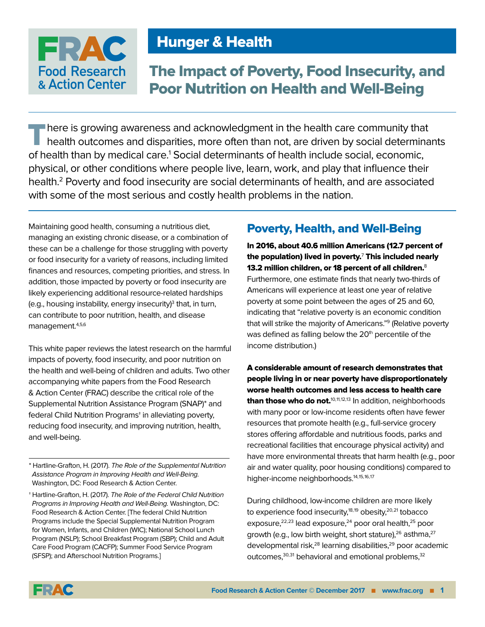# FRAC **Food Research** & Action Center

# Hunger & Health

# The Impact of Poverty, Food Insecurity, and Poor Nutrition on Health and Well-Being

**There is growing awareness and acknowledgment in the health care community that** health outcomes and disparities, more often than not, are driven by social determinants of health than by medical care.<sup>1</sup> Social determinants of health include social, economic, physical, or other conditions where people live, learn, work, and play that influence their health.<sup>2</sup> Poverty and food insecurity are social determinants of health, and are associated with some of the most serious and costly health problems in the nation.

Maintaining good health, consuming a nutritious diet, managing an existing chronic disease, or a combination of these can be a challenge for those struggling with poverty or food insecurity for a variety of reasons, including limited finances and resources, competing priorities, and stress. In addition, those impacted by poverty or food insecurity are likely experiencing additional resource-related hardships (e.g., housing instability, energy insecurity)<sup>3</sup> that, in turn, can contribute to poor nutrition, health, and disease management.4,5,6

This white paper reviews the latest research on the harmful impacts of poverty, food insecurity, and poor nutrition on the health and well-being of children and adults. Two other accompanying white papers from the Food Research & Action Center (FRAC) describe the critical role of the Supplemental Nutrition Assistance Program (SNAP)\* and federal Child Nutrition Programs† in alleviating poverty, reducing food insecurity, and improving nutrition, health, and well-being.

\* Hartline-Grafton, H. (2017). The Role of the Supplemental Nutrition Assistance Program in Improving Health and Well-Being. Washington, DC: Food Research & Action Center.

† Hartline-Grafton, H. (2017). The Role of the Federal Child Nutrition Programs in Improving Health and Well-Being. Washington, DC: Food Research & Action Center. [The federal Child Nutrition Programs include the Special Supplemental Nutrition Program for Women, Infants, and Children (WIC); National School Lunch Program (NSLP); School Breakfast Program (SBP); Child and Adult Care Food Program (CACFP); Summer Food Service Program (SFSP); and Afterschool Nutrition Programs.]

# Poverty, Health, and Well-Being

In 2016, about 40.6 million Americans (12.7 percent of the population) lived in poverty. $7$  This included nearly 13.2 million children, or 18 percent of all children. $8$ Furthermore, one estimate finds that nearly two-thirds of Americans will experience at least one year of relative poverty at some point between the ages of 25 and 60, indicating that "relative poverty is an economic condition that will strike the majority of Americans."9 (Relative poverty was defined as falling below the 20<sup>th</sup> percentile of the income distribution.)

A considerable amount of research demonstrates that people living in or near poverty have disproportionately worse health outcomes and less access to health care than those who do not. $10, 11, 12, 13$  In addition, neighborhoods with many poor or low-income residents often have fewer resources that promote health (e.g., full-service grocery stores offering affordable and nutritious foods, parks and recreational facilities that encourage physical activity) and have more environmental threats that harm health (e.g., poor air and water quality, poor housing conditions) compared to higher-income neighborhoods.<sup>14, 15, 16, 17</sup>

During childhood, low-income children are more likely to experience food insecurity, $18,19$  obesity, $20,21$  tobacco exposure, $22,23$  lead exposure, $24$  poor oral health, $25$  poor growth (e.g., low birth weight, short stature), $26$  asthma, $27$ developmental risk,<sup>28</sup> learning disabilities,<sup>29</sup> poor academic outcomes, $30,31$  behavioral and emotional problems, $32$ 

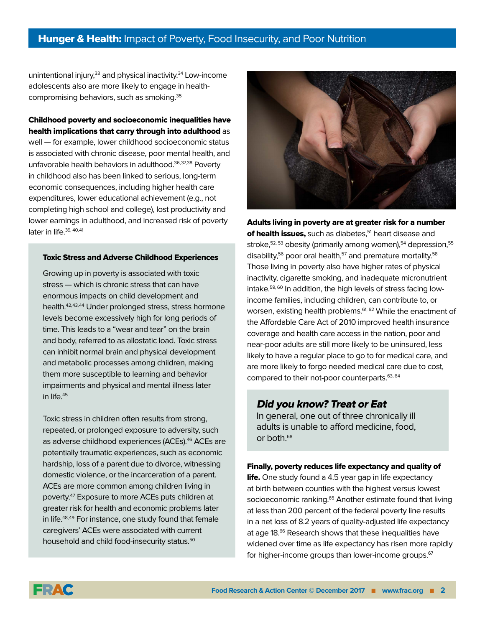### **Hunger & Health:** Impact of Poverty, Food Insecurity, and Poor Nutrition

unintentional injury,<sup>33</sup> and physical inactivity.<sup>34</sup> Low-income adolescents also are more likely to engage in healthcompromising behaviors, such as smoking.35

Childhood poverty and socioeconomic inequalities have health implications that carry through into adulthood as well — for example, lower childhood socioeconomic status is associated with chronic disease, poor mental health, and unfavorable health behaviors in adulthood.<sup>36,37,38</sup> Poverty in childhood also has been linked to serious, long-term economic consequences, including higher health care expenditures, lower educational achievement (e.g., not completing high school and college), lost productivity and lower earnings in adulthood, and increased risk of poverty later in life.<sup>39, 40,41</sup>

#### Toxic Stress and Adverse Childhood Experiences

Growing up in poverty is associated with toxic stress — which is chronic stress that can have enormous impacts on child development and health.<sup>42, 43, 44</sup> Under prolonged stress, stress hormone levels become excessively high for long periods of time. This leads to a "wear and tear" on the brain and body, referred to as allostatic load. Toxic stress can inhibit normal brain and physical development and metabolic processes among children, making them more susceptible to learning and behavior impairments and physical and mental illness later in life.<sup>45</sup>

Toxic stress in children often results from strong, repeated, or prolonged exposure to adversity, such as adverse childhood experiences (ACEs).<sup>46</sup> ACEs are potentially traumatic experiences, such as economic hardship, loss of a parent due to divorce, witnessing domestic violence, or the incarceration of a parent. ACEs are more common among children living in poverty.47 Exposure to more ACEs puts children at greater risk for health and economic problems later in life.48, 49 For instance, one study found that female caregivers' ACEs were associated with current household and child food-insecurity status.<sup>50</sup>



Adults living in poverty are at greater risk for a number of health issues, such as diabetes,<sup>51</sup> heart disease and stroke, $52, 53$  obesity (primarily among women), $54$  depression, $55$ disability,<sup>56</sup> poor oral health,<sup>57</sup> and premature mortality.<sup>58</sup> Those living in poverty also have higher rates of physical inactivity, cigarette smoking, and inadequate micronutrient intake.59, 60 In addition, the high levels of stress facing lowincome families, including children, can contribute to, or worsen, existing health problems.<sup>61, 62</sup> While the enactment of the Affordable Care Act of 2010 improved health insurance coverage and health care access in the nation, poor and near-poor adults are still more likely to be uninsured, less likely to have a regular place to go to for medical care, and are more likely to forgo needed medical care due to cost, compared to their not-poor counterparts.<sup>63, 64</sup>

#### Did you know? Treat or Eat

In general, one out of three chronically ill adults is unable to afford medicine, food, or both.<sup>68</sup>

#### Finally, poverty reduces life expectancy and quality of

life. One study found a 4.5 year gap in life expectancy at birth between counties with the highest versus lowest socioeconomic ranking.<sup>65</sup> Another estimate found that living at less than 200 percent of the federal poverty line results in a net loss of 8.2 years of quality-adjusted life expectancy at age 18.<sup>66</sup> Research shows that these inequalities have widened over time as life expectancy has risen more rapidly for higher-income groups than lower-income groups.<sup>67</sup>

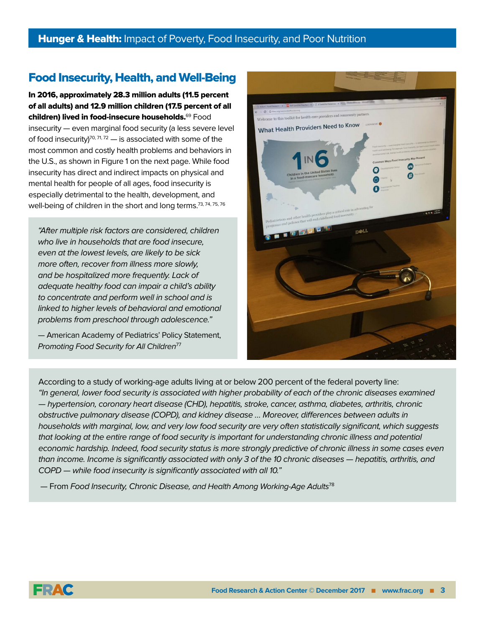### **Hunger & Health:** Impact of Poverty, Food Insecurity, and Poor Nutrition

## Food Insecurity, Health, and Well-Being

In 2016, approximately 28.3 million adults (11.5 percent of all adults) and 12.9 million children (17.5 percent of all children) lived in food-insecure households.<sup>69</sup> Food insecurity — even marginal food security (a less severe level of food insecurity)<sup>70, 71, 72</sup> — is associated with some of the most common and costly health problems and behaviors in the U.S., as shown in Figure 1 on the next page. While food insecurity has direct and indirect impacts on physical and mental health for people of all ages, food insecurity is especially detrimental to the health, development, and well-being of children in the short and long terms.<sup>73, 74, 75, 76</sup>

"After multiple risk factors are considered, children who live in households that are food insecure, even at the lowest levels, are likely to be sick more often, recover from illness more slowly, and be hospitalized more frequently. Lack of adequate healthy food can impair a child's ability to concentrate and perform well in school and is linked to higher levels of behavioral and emotional problems from preschool through adolescence."

— American Academy of Pediatrics' Policy Statement, Promoting Food Security for All Children<sup>77</sup>



According to a study of working-age adults living at or below 200 percent of the federal poverty line: "In general, lower food security is associated with higher probability of each of the chronic diseases examined — hypertension, coronary heart disease (CHD), hepatitis, stroke, cancer, asthma, diabetes, arthritis, chronic obstructive pulmonary disease (COPD), and kidney disease … Moreover, differences between adults in households with marginal, low, and very low food security are very often statistically significant, which suggests that looking at the entire range of food security is important for understanding chronic illness and potential economic hardship. Indeed, food security status is more strongly predictive of chronic illness in some cases even than income. Income is significantly associated with only 3 of the 10 chronic diseases — hepatitis, arthritis, and COPD — while food insecurity is significantly associated with all 10."

— From Food Insecurity, Chronic Disease, and Health Among Working-Age Adults<sup>78</sup>

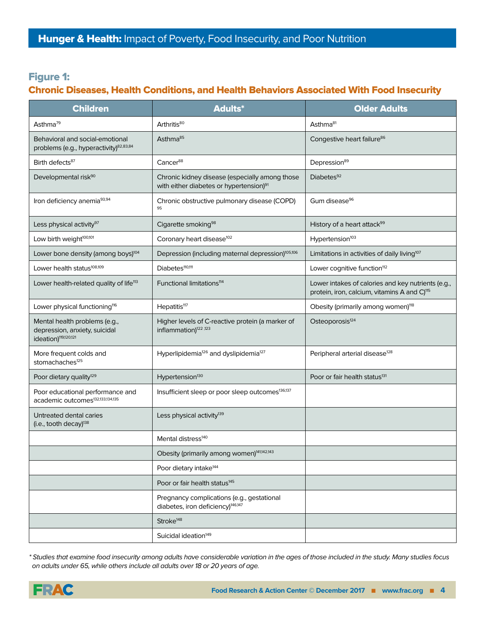## Figure 1:

### Chronic Diseases, Health Conditions, and Health Behaviors Associated With Food Insecurity

| <b>Children</b>                                                                                    | <b>Adults*</b>                                                                                        | <b>Older Adults</b>                                                                                            |
|----------------------------------------------------------------------------------------------------|-------------------------------------------------------------------------------------------------------|----------------------------------------------------------------------------------------------------------------|
| Asthma <sup>79</sup>                                                                               | Arthritis <sup>80</sup>                                                                               | Asthma <sup>81</sup>                                                                                           |
| Behavioral and social-emotional<br>problems (e.g., hyperactivity)82,83,84                          | Asthma <sup>85</sup>                                                                                  | Congestive heart failure <sup>86</sup>                                                                         |
| Birth defects <sup>87</sup>                                                                        | Cancer <sup>88</sup>                                                                                  | Depression <sup>89</sup>                                                                                       |
| Developmental risk <sup>90</sup>                                                                   | Chronic kidney disease (especially among those<br>with either diabetes or hypertension) <sup>91</sup> | Diabetes <sup>92</sup>                                                                                         |
| Iron deficiency anemia93,94                                                                        | Chronic obstructive pulmonary disease (COPD)<br>95                                                    | Gum disease <sup>96</sup>                                                                                      |
| Less physical activity <sup>97</sup>                                                               | Cigarette smoking <sup>98</sup>                                                                       | History of a heart attack <sup>99</sup>                                                                        |
| Low birth weight <sup>100,101</sup>                                                                | Coronary heart disease <sup>102</sup>                                                                 | Hypertension <sup>103</sup>                                                                                    |
| Lower bone density (among boys) <sup>104</sup>                                                     | Depression (including maternal depression) <sup>105,106</sup>                                         | Limitations in activities of daily living <sup>107</sup>                                                       |
| Lower health status <sup>108,109</sup>                                                             | Diabetes <sup>110,111</sup>                                                                           | Lower cognitive function <sup>112</sup>                                                                        |
| Lower health-related quality of life <sup>113</sup>                                                | Functional limitations <sup>114</sup>                                                                 | Lower intakes of calories and key nutrients (e.g.,<br>protein, iron, calcium, vitamins A and C) <sup>115</sup> |
| Lower physical functioning <sup>116</sup>                                                          | Hepatitis <sup>117</sup>                                                                              | Obesity (primarily among women) <sup>118</sup>                                                                 |
| Mental health problems (e.g.,<br>depression, anxiety, suicidal<br>ideation) <sup>119,120,121</sup> | Higher levels of C-reactive protein (a marker of<br>inflammation) <sup>122</sup> ,123                 | Osteoporosis <sup>124</sup>                                                                                    |
| More frequent colds and<br>stomachaches <sup>125</sup>                                             | Hyperlipidemia <sup>126</sup> and dyslipidemia <sup>127</sup>                                         | Peripheral arterial disease <sup>128</sup>                                                                     |
| Poor dietary quality <sup>129</sup>                                                                | Hypertension <sup>130</sup>                                                                           | Poor or fair health status <sup>131</sup>                                                                      |
| Poor educational performance and<br>academic outcomes <sup>132,133,134,135</sup>                   | Insufficient sleep or poor sleep outcomes <sup>136,137</sup>                                          |                                                                                                                |
| Untreated dental caries<br>(i.e., tooth decay) <sup>138</sup>                                      | Less physical activity <sup>139</sup>                                                                 |                                                                                                                |
|                                                                                                    | Mental distress <sup>140</sup>                                                                        |                                                                                                                |
|                                                                                                    | Obesity (primarily among women) <sup>141,142,143</sup>                                                |                                                                                                                |
|                                                                                                    | Poor dietary intake <sup>144</sup>                                                                    |                                                                                                                |
|                                                                                                    | Poor or fair health status <sup>145</sup>                                                             |                                                                                                                |
|                                                                                                    | Pregnancy complications (e.g., gestational<br>diabetes, iron deficiency) <sup>146,147</sup>           |                                                                                                                |
|                                                                                                    | Stroke <sup>148</sup>                                                                                 |                                                                                                                |
|                                                                                                    | Suicidal ideation <sup>149</sup>                                                                      |                                                                                                                |

\* Studies that examine food insecurity among adults have considerable variation in the ages of those included in the study. Many studies focus on adults under 65, while others include all adults over 18 or 20 years of age.

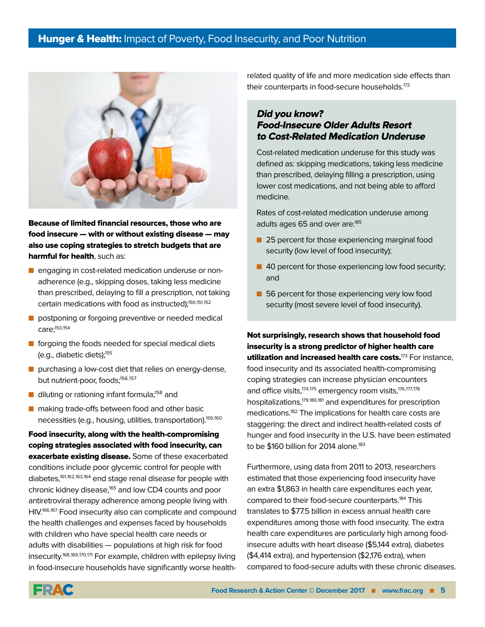### **Hunger & Health:** Impact of Poverty, Food Insecurity, and Poor Nutrition



Because of limited financial resources, those who are food insecure — with or without existing disease — may also use coping strategies to stretch budgets that are harmful for health, such as:

- $\blacksquare$  engaging in cost-related medication underuse or nonadherence (e.g., skipping doses, taking less medicine than prescribed, delaying to fill a prescription, not taking certain medications with food as instructed);<sup>150, 151, 152</sup>
- $\blacksquare$  postponing or forgoing preventive or needed medical care;153, 154
- $\blacksquare$  forgoing the foods needed for special medical diets (e.g., diabetic diets);155
- $\blacksquare$  purchasing a low-cost diet that relies on energy-dense, but nutrient-poor, foods;<sup>156,157</sup>
- $\blacksquare$  diluting or rationing infant formula;<sup>158</sup> and
- $\blacksquare$  making trade-offs between food and other basic necessities (e.g., housing, utilities, transportation).<sup>159,160</sup>

Food insecurity, along with the health-compromising coping strategies associated with food insecurity, can exacerbate existing disease. Some of these exacerbated conditions include poor glycemic control for people with diabetes,<sup>161, 162, 163, 164</sup> end stage renal disease for people with chronic kidney disease,<sup>165</sup> and low CD4 counts and poor antiretroviral therapy adherence among people living with HIV.<sup>166, 167</sup> Food insecurity also can complicate and compound the health challenges and expenses faced by households with children who have special health care needs or adults with disabilities — populations at high risk for food insecurity.168, 169, 170, 171 For example, children with epilepsy living in food-insecure households have significantly worse healthrelated quality of life and more medication side effects than their counterparts in food-secure households.<sup>172</sup>

#### Did you know? Food-Insecure Older Adults Resort to Cost-Related Medication Underuse

Cost-related medication underuse for this study was defined as: skipping medications, taking less medicine than prescribed, delaying filling a prescription, using lower cost medications, and not being able to afford medicine.

Rates of cost-related medication underuse among adults ages 65 and over are:<sup>185</sup>

- $\blacksquare$  25 percent for those experiencing marginal food security (low level of food insecurity);
- $\blacksquare$  40 percent for those experiencing low food security; and
- $\blacksquare$  56 percent for those experiencing very low food security (most severe level of food insecurity).

Not surprisingly, research shows that household food insecurity is a strong predictor of higher health care utilization and increased health care costs.<sup>173</sup> For instance, food insecurity and its associated health-compromising coping strategies can increase physician encounters and office visits,<sup>174,175</sup> emergency room visits,<sup>176,177,178</sup> hospitalizations,<sup>179, 180, 181</sup> and expenditures for prescription medications.182 The implications for health care costs are staggering: the direct and indirect health-related costs of hunger and food insecurity in the U.S. have been estimated to be \$160 billion for 2014 alone.<sup>183</sup>

Furthermore, using data from 2011 to 2013, researchers estimated that those experiencing food insecurity have an extra \$1,863 in health care expenditures each year, compared to their food-secure counterparts.184 This translates to \$77.5 billion in excess annual health care expenditures among those with food insecurity. The extra health care expenditures are particularly high among foodinsecure adults with heart disease (\$5,144 extra), diabetes (\$4,414 extra), and hypertension (\$2,176 extra), when compared to food-secure adults with these chronic diseases.

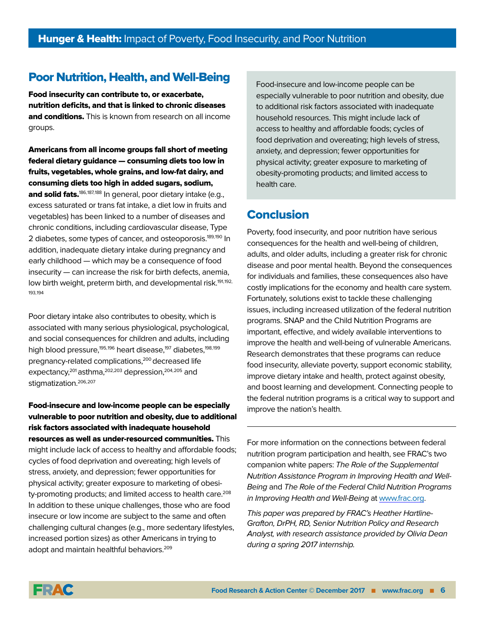## Poor Nutrition, Health, and Well-Being

Food insecurity can contribute to, or exacerbate, nutrition deficits, and that is linked to chronic diseases and conditions. This is known from research on all income groups.

Americans from all income groups fall short of meeting federal dietary guidance — consuming diets too low in fruits, vegetables, whole grains, and low-fat dairy, and consuming diets too high in added sugars, sodium, and solid fats.<sup>186,187,188</sup> In general, poor dietary intake (e.g., excess saturated or trans fat intake, a diet low in fruits and vegetables) has been linked to a number of diseases and chronic conditions, including cardiovascular disease, Type 2 diabetes, some types of cancer, and osteoporosis.<sup>189, 190</sup> In addition, inadequate dietary intake during pregnancy and early childhood — which may be a consequence of food insecurity — can increase the risk for birth defects, anemia, low birth weight, preterm birth, and developmental risk.<sup>191,192,</sup> 193, 194

Poor dietary intake also contributes to obesity, which is associated with many serious physiological, psychological, and social consequences for children and adults, including high blood pressure,<sup>195, 196</sup> heart disease,<sup>197</sup> diabetes,<sup>198,199</sup> pregnancy-related complications,<sup>200</sup> decreased life expectancy,<sup>201</sup> asthma,<sup>202,203</sup> depression,<sup>204,205</sup> and stigmatization.<sup>206,207</sup>

Food-insecure and low-income people can be especially vulnerable to poor nutrition and obesity, due to additional risk factors associated with inadequate household resources as well as under-resourced communities. This might include lack of access to healthy and affordable foods; cycles of food deprivation and overeating; high levels of stress, anxiety, and depression; fewer opportunities for physical activity; greater exposure to marketing of obesity-promoting products; and limited access to health care.<sup>208</sup> In addition to these unique challenges, those who are food insecure or low income are subject to the same and often challenging cultural changes (e.g., more sedentary lifestyles, increased portion sizes) as other Americans in trying to adopt and maintain healthful behaviors.<sup>209</sup>

Food-insecure and low-income people can be especially vulnerable to poor nutrition and obesity, due to additional risk factors associated with inadequate household resources. This might include lack of access to healthy and affordable foods; cycles of food deprivation and overeating; high levels of stress, anxiety, and depression; fewer opportunities for physical activity; greater exposure to marketing of obesity-promoting products; and limited access to health care.

# Conclusion

Poverty, food insecurity, and poor nutrition have serious consequences for the health and well-being of children, adults, and older adults, including a greater risk for chronic disease and poor mental health. Beyond the consequences for individuals and families, these consequences also have costly implications for the economy and health care system. Fortunately, solutions exist to tackle these challenging issues, including increased utilization of the federal nutrition programs. SNAP and the Child Nutrition Programs are important, effective, and widely available interventions to improve the health and well-being of vulnerable Americans. Research demonstrates that these programs can reduce food insecurity, alleviate poverty, support economic stability, improve dietary intake and health, protect against obesity, and boost learning and development. Connecting people to the federal nutrition programs is a critical way to support and improve the nation's health.

For more information on the connections between federal nutrition program participation and health, see FRAC's two companion white papers: The Role of the Supplemental Nutrition Assistance Program in Improving Health and Well-Being and The Role of the Federal Child Nutrition Programs in Improving Health and Well-Being at [www.frac.org.](http://www.frac.org)

This paper was prepared by FRAC's Heather Hartline-Grafton, DrPH, RD, Senior Nutrition Policy and Research Analyst, with research assistance provided by Olivia Dean during a spring 2017 internship.

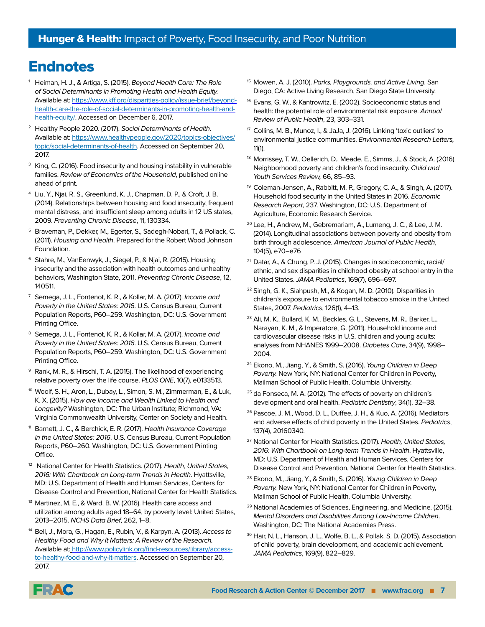# **Endnotes**

- <sup>1</sup> Heiman, H. J., & Artiga, S. (2015). Beyond Health Care: The Role of Social Determinants in Promoting Health and Health Equity. Available at: [https://www.kff.org/disparities-policy/issue-brief/beyond](https://www.kff.org/disparities-policy/issue-brief/beyond-health-care-the-role-of-social-determinants-in-promoting-health-and-health-equity/)[health-care-the-role-of-social-determinants-in-promoting-health-and](https://www.kff.org/disparities-policy/issue-brief/beyond-health-care-the-role-of-social-determinants-in-promoting-health-and-health-equity/)[health-equity/.](https://www.kff.org/disparities-policy/issue-brief/beyond-health-care-the-role-of-social-determinants-in-promoting-health-and-health-equity/) Accessed on December 6, 2017.
- <sup>2</sup> Healthy People 2020. (2017). Social Determinants of Health. Available at: [https://www.healthypeople.gov/2020/topics-objectives/](https://www.healthypeople.gov/2020/topics-objectives/topic/social-determinants-of-health) [topic/social-](https://www.healthypeople.gov/2020/topics-objectives/topic/social-determinants-of-health)determinants-of-health. Accessed on September 20, 2017.
- King, C. (2016). Food insecurity and housing instability in vulnerable families. Review of Economics of the Household, published online ahead of print.
- <sup>4</sup> Liu, Y., Njai, R. S., Greenlund, K. J., Chapman, D. P., & Croft, J. B. (2014). Relationships between housing and food insecurity, frequent mental distress, and insufficient sleep among adults in 12 US states, 2009. Preventing Chronic Disease, 11, 130334.
- <sup>5</sup> Braveman, P., Dekker, M., Egerter, S., Sadegh-Nobari, T., & Pollack, C. (2011). Housing and Health. Prepared for the Robert Wood Johnson Foundation.
- <sup>6</sup> Stahre, M., VanEenwyk, J., Siegel, P., & Njai, R. (2015). Housing insecurity and the association with health outcomes and unhealthy behaviors, Washington State, 2011. Preventing Chronic Disease, 12, 140511.
- Semega, J. L., Fontenot, K. R., & Kollar, M. A. (2017). Income and Poverty in the United States: 2016. U.S. Census Bureau, Current Population Reports, P60–259. Washington, DC: U.S. Government Printing Office.
- Semega, J. L., Fontenot, K. R., & Kollar, M. A. (2017). Income and Poverty in the United States: 2016. U.S. Census Bureau, Current Population Reports, P60–259. Washington, DC: U.S. Government Printing Office.
- <sup>9</sup> Rank, M. R., & Hirschl, T. A. (2015). The likelihood of experiencing relative poverty over the life course. PLOS ONE, 10(7), e0133513.
- <sup>10</sup> Woolf, S. H., Aron, L., Dubay, L., Simon, S. M., Zimmerman, E., & Luk, K. X. (2015). How are Income and Wealth Linked to Health and Longevity? Washington, DC: The Urban Institute; Richmond, VA: Virginia Commonwealth University, Center on Society and Health.
- <sup>11</sup> Barnett, J. C., & Berchick, E. R. (2017). Health Insurance Coverage in the United States: 2016. U.S. Census Bureau, Current Population Reports, P60–260. Washington, DC: U.S. Government Printing Office.
- <sup>12</sup> National Center for Health Statistics. (2017). Health, United States, 2016: With Chartbook on Long-term Trends in Health. Hyattsville, MD: U.S. Department of Health and Human Services, Centers for Disease Control and Prevention, National Center for Health Statistics.
- <sup>13</sup> Martinez, M. E., & Ward, B. W. (2016). Health care access and utilization among adults aged 18–64, by poverty level: United States, 2013–2015. NCHS Data Brief, 262, 1–8.
- <sup>14</sup> Bell, J., Mora, G., Hagan, E., Rubin, V., & Karpyn, A. (2013). Access to Healthy Food and Why It Matters: A Review of the Research. Available at: [http://www.policylink.org/find-resources/library/access](http://www.policylink.org/find-resources/library/access-to-healthy-food-and-why-it-matters)to-healthy-food-and-why-it-matters. Accessed on September 20, 2017.
- <sup>15</sup> Mowen, A. J. (2010). Parks, Playgrounds, and Active Living. San Diego, CA: Active Living Research, San Diego State University.
- <sup>16</sup> Evans, G. W., & Kantrowitz, E. (2002). Socioeconomic status and health: the potential role of environmental risk exposure. Annual Review of Public Health, 23, 303–331.
- <sup>17</sup> Collins, M. B., Munoz, I., & JaJa, J. (2016). Linking 'toxic outliers' to environmental justice communities. Environmental Research Letters, 11(1).
- <sup>18</sup> Morrissey, T. W., Oellerich, D., Meade, E., Simms, J., & Stock, A. (2016). Neighborhood poverty and children's food insecurity. Child and Youth Services Review, 66, 85–93.
- <sup>19</sup> Coleman-Jensen, A., Rabbitt, M. P., Gregory, C. A., & Singh, A. (2017). Household food security in the United States in 2016. Economic Research Report, 237. Washington, DC: U.S. Department of Agriculture, Economic Research Service.
- <sup>20</sup> Lee, H., Andrew, M., Gebremariam, A., Lumeng, J. C., & Lee, J. M. (2014). Longitudinal associations between poverty and obesity from birth through adolescence. American Journal of Public Health, 104(5), e70–e76
- <sup>21</sup> Datar, A., & Chung, P. J. (2015). Changes in socioeconomic, racial/ ethnic, and sex disparities in childhood obesity at school entry in the United States. JAMA Pediatrics, 169(7), 696–697.
- <sup>22</sup> Singh, G. K., Siahpush, M., & Kogan, M. D. (2010). Disparities in children's exposure to environmental tobacco smoke in the United States, 2007. Pediatrics, 126(1), 4–13.
- <sup>23</sup> Ali, M. K., Bullard, K. M., Beckles, G. L., Stevens, M. R., Barker, L., Narayan, K. M., & Imperatore, G. (2011). Household income and cardiovascular disease risks in U.S. children and young adults: analyses from NHANES 1999–2008. Diabetes Care, 34(9), 1998– 2004.
- <sup>24</sup> Ekono, M., Jiang, Y., & Smith, S. (2016). Young Children in Deep Poverty. New York, NY: National Center for Children in Poverty, Mailman School of Public Health, Columbia University.
- <sup>25</sup> da Fonseca, M. A. (2012). The effects of poverty on children's development and oral health. Pediatric Dentistry, 34(1), 32–38.
- <sup>26</sup> Pascoe, J. M., Wood, D. L., Duffee, J. H., & Kuo, A. (2016). Mediators and adverse effects of child poverty in the United States. Pediatrics, 137(4), 20160340.
- <sup>27</sup> National Center for Health Statistics. (2017). Health, United States, 2016: With Chartbook on Long-term Trends in Health. Hyattsville, MD: U.S. Department of Health and Human Services, Centers for Disease Control and Prevention, National Center for Health Statistics.
- <sup>28</sup> Ekono, M., Jiang, Y., & Smith, S. (2016). Young Children in Deep Poverty. New York, NY: National Center for Children in Poverty, Mailman School of Public Health, Columbia University.
- <sup>29</sup> National Academies of Sciences, Engineering, and Medicine. (2015). Mental Disorders and Disabilities Among Low-Income Children. Washington, DC: The National Academies Press.
- <sup>30</sup> Hair, N. L., Hanson, J. L., Wolfe, B. L., & Pollak, S. D. (2015). Association of child poverty, brain development, and academic achievement. JAMA Pediatrics, 169(9), 822–829.

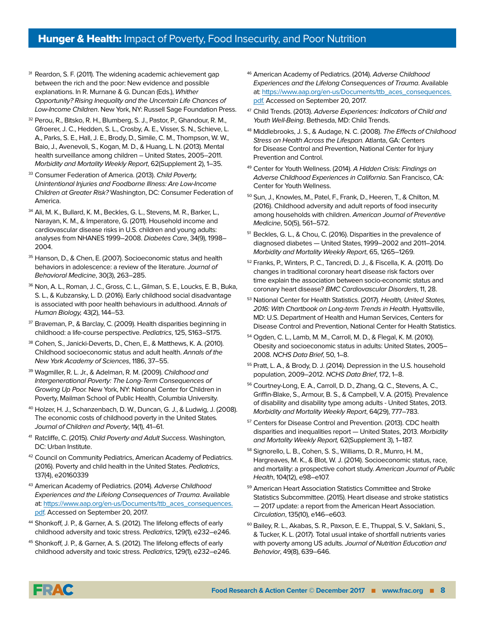- <sup>31</sup> Reardon, S. F. (2011). The widening academic achievement gap between the rich and the poor: New evidence and possible explanations. In R. Murnane & G. Duncan (Eds.), Whither Opportunity? Rising Inequality and the Uncertain Life Chances of Low-Income Children. New York, NY: Russell Sage Foundation Press.
- <sup>32</sup> Perou, R., Bitsko, R. H., Blumberg, S. J., Pastor, P., Ghandour, R. M., Gfroerer, J. C., Hedden, S. L., Crosby, A. E., Visser, S. N., Schieve, L. A., Parks, S. E., Hall, J. E., Brody, D., Simile, C. M., Thompson, W. W., Baio, J., Avenevoli, S., Kogan, M. D., & Huang, L. N. (2013). Mental health surveillance among children – United States, 2005–2011. Morbidity and Mortality Weekly Report, 62(Supplement 2), 1–35.
- 33 Consumer Federation of America. (2013). Child Poverty, Unintentional Injuries and Foodborne Illness: Are Low-Income Children at Greater Risk? Washington, DC: Consumer Federation of America.
- 34 Ali, M. K., Bullard, K. M., Beckles, G. L., Stevens, M. R., Barker, L., Narayan, K. M., & Imperatore, G. (2011). Household income and cardiovascular disease risks in U.S. children and young adults: analyses from NHANES 1999–2008. Diabetes Care, 34(9), 1998– 2004.
- 35 Hanson, D., & Chen, E. (2007). Socioeconomic status and health behaviors in adolescence: a review of the literature. Journal of Behavioral Medicine, 30(3), 263–285.
- <sup>36</sup> Non, A. L., Roman, J. C., Gross, C. L., Gilman, S. E., Loucks, E. B., Buka, S. L., & Kubzansky, L. D. (2016). Early childhood social disadvantage is associated with poor health behaviours in adulthood. Annals of Human Biology, 43(2), 144–53.
- <sup>37</sup> Braveman, P., & Barclay, C. (2009). Health disparities beginning in childhood: a life-course perspective. Pediatrics, 125, S163–S175.
- 38 Cohen, S., Janicki-Deverts, D., Chen, E., & Matthews, K. A. (2010). Childhood socioeconomic status and adult health. Annals of the New York Academy of Sciences, 1186, 37–55.
- <sup>39</sup> Wagmiller, R. L. Jr., & Adelman, R. M. (2009). Childhood and Intergenerational Poverty: The Long-Term Consequences of Growing Up Poor. New York, NY: National Center for Children in Poverty, Mailman School of Public Health, Columbia University.
- <sup>40</sup> Holzer, H. J., Schanzenbach, D. W., Duncan, G. J., & Ludwig, J. (2008). The economic costs of childhood poverty in the United States. Journal of Children and Poverty, 14(1), 41–61.
- 41 Ratcliffe, C. (2015). Child Poverty and Adult Success. Washington, DC: Urban Institute.
- 42 Council on Community Pediatrics, American Academy of Pediatrics. (2016). Poverty and child health in the United States. Pediatrics, 137(4), e20160339
- 43 American Academy of Pediatrics. (2014). Adverse Childhood Experiences and the Lifelong Consequences of Trauma. Available at: [https://www.aap.org/en-us/Documents/ttb\\_aces\\_consequences.](https://www.aap.org/en-us/Documents/ttb_aces_consequences.pdf) [pdf.](https://www.aap.org/en-us/Documents/ttb_aces_consequences.pdf) Accessed on September 20, 2017.
- 44 Shonkoff, J. P., & Garner, A. S. (2012). The lifelong effects of early childhood adversity and toxic stress. Pediatrics, 129(1), e232–e246.
- 45 Shonkoff, J. P., & Garner, A. S. (2012). The lifelong effects of early childhood adversity and toxic stress. Pediatrics, 129(1), e232–e246.
- <sup>46</sup> American Academy of Pediatrics. (2014). Adverse Childhood Experiences and the Lifelong Consequences of Trauma. Available at: [https://www.aap.org/en-us/Documents/ttb\\_aces\\_consequences.](https://www.aap.org/en-us/Documents/ttb_aces_consequences.pdf) [pdf.](https://www.aap.org/en-us/Documents/ttb_aces_consequences.pdf) Accessed on September 20, 2017.
- <sup>47</sup> Child Trends. (2013). Adverse Experiences: Indicators of Child and Youth Well-Being. Bethesda, MD: Child Trends.
- 48 Middlebrooks, J. S., & Audage, N. C. (2008). The Effects of Childhood Stress on Health Across the Lifespan. Atlanta, GA: Centers for Disease Control and Prevention, National Center for Injury Prevention and Control.
- 49 Center for Youth Wellness. (2014). A Hidden Crisis: Findings on Adverse Childhood Experiences in California. San Francisco, CA: Center for Youth Wellness.
- <sup>50</sup> Sun, J., Knowles, M., Patel, F., Frank, D., Heeren, T., & Chilton, M. (2016). Childhood adversity and adult reports of food insecurity among households with children. American Journal of Preventive Medicine, 50(5), 561–572.
- <sup>51</sup> Beckles, G. L., & Chou, C. (2016). Disparities in the prevalence of diagnosed diabetes — United States, 1999–2002 and 2011–2014. Morbidity and Mortality Weekly Report, 65, 1265–1269.
- <sup>52</sup> Franks, P., Winters, P. C., Tancredi, D. J., & Fiscella, K. A. (2011). Do changes in traditional coronary heart disease risk factors over time explain the association between socio-economic status and coronary heart disease? BMC Cardiovascular Disorders, 11, 28.
- 53 National Center for Health Statistics. (2017). Health, United States, 2016: With Chartbook on Long-term Trends in Health. Hyattsville, MD: U.S. Department of Health and Human Services, Centers for Disease Control and Prevention, National Center for Health Statistics.
- <sup>54</sup> Ogden, C. L., Lamb, M. M., Carroll, M. D., & Flegal, K. M. (2010). Obesity and socioeconomic status in adults: United States, 2005– 2008. NCHS Data Brief, 50, 1–8.
- <sup>55</sup> Pratt, L. A., & Brody, D. J. (2014). Depression in the U.S. household population, 2009–2012. NCHS Data Brief, 172, 1–8.
- <sup>56</sup> Courtney-Long, E. A., Carroll, D. D., Zhang, Q. C., Stevens, A. C., Griffin-Blake, S., Armour, B. S., & Campbell, V. A. (2015). Prevalence of disability and disability type among adults - United States, 2013. Morbidity and Mortality Weekly Report, 64(29), 777–783.
- <sup>57</sup> Centers for Disease Control and Prevention. (2013). CDC health disparities and inequalities report — United States, 2013. Morbidity and Mortality Weekly Report, 62(Supplement 3), 1–187.
- <sup>58</sup> Signorello, L. B., Cohen, S. S., Williams, D. R., Munro, H. M., Hargreaves, M. K., & Blot, W. J. (2014). Socioeconomic status, race, and mortality: a prospective cohort study. American Journal of Public Health, 104(12), e98–e107.
- <sup>59</sup> American Heart Association Statistics Committee and Stroke Statistics Subcommittee. (2015). Heart disease and stroke statistics — 2017 update: a report from the American Heart Association. Circulation, 135(10), e146–e603.
- <sup>60</sup> Bailey, R. L., Akabas, S. R., Paxson, E. E., Thuppal, S. V., Saklani, S., & Tucker, K. L. (2017). Total usual intake of shortfall nutrients varies with poverty among US adults. Journal of Nutrition Education and Behavior, 49(8), 639–646.

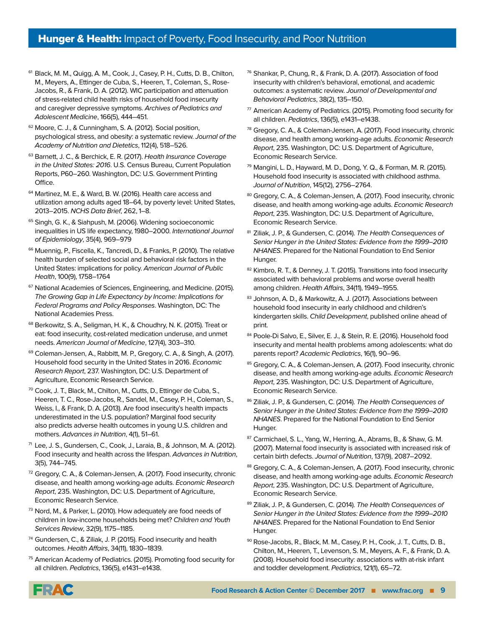- <sup>61</sup> Black, M. M., Quigg, A. M., Cook, J., Casey, P. H., Cutts, D. B., Chilton, M., Meyers, A., Ettinger de Cuba, S., Heeren, T., Coleman, S., Rose-Jacobs, R., & Frank, D. A. (2012). WIC participation and attenuation of stress-related child health risks of household food insecurity and caregiver depressive symptoms. Archives of Pediatrics and Adolescent Medicine, 166(5), 444–451.
- <sup>62</sup> Moore, C. J., & Cunningham, S. A. (2012). Social position, psychological stress, and obesity: a systematic review. Journal of the Academy of Nutrition and Dietetics, 112(4), 518–526.
- 63 Barnett, J. C., & Berchick, E. R. (2017). Health Insurance Coverage in the United States: 2016. U.S. Census Bureau, Current Population Reports, P60–260. Washington, DC: U.S. Government Printing Office.
- <sup>64</sup> Martinez, M. E., & Ward, B. W. (2016). Health care access and utilization among adults aged 18–64, by poverty level: United States, 2013–2015. NCHS Data Brief, 262, 1–8.
- <sup>65</sup> Singh, G. K., & Siahpush, M. (2006). Widening socioeconomic inequalities in US life expectancy, 1980–2000. International Journal of Epidemiology, 35(4), 969–979
- <sup>66</sup> Muennig, P., Fiscella, K., Tancredi, D., & Franks, P. (2010). The relative health burden of selected social and behavioral risk factors in the United States: implications for policy. American Journal of Public Health, 100(9), 1758–1764
- <sup>67</sup> National Academies of Sciences, Engineering, and Medicine. (2015). The Growing Gap in Life Expectancy by Income: Implications for Federal Programs and Policy Responses. Washington, DC: The National Academies Press.
- <sup>68</sup> Berkowitz, S. A., Seligman, H. K., & Choudhry, N. K. (2015). Treat or eat: food insecurity, cost-related medication underuse, and unmet needs. American Journal of Medicine, 127(4), 303–310.
- <sup>69</sup> Coleman-Jensen, A., Rabbitt, M. P., Gregory, C. A., & Singh, A. (2017). Household food security in the United States in 2016. Economic Research Report, 237. Washington, DC: U.S. Department of Agriculture, Economic Research Service.
- <sup>70</sup> Cook, J. T., Black, M., Chilton, M., Cutts, D., Ettinger de Cuba, S., Heeren, T. C., Rose-Jacobs, R., Sandel, M., Casey, P. H., Coleman, S., Weiss, I., & Frank, D. A. (2013). Are food insecurity's health impacts underestimated in the U.S. population? Marginal food security also predicts adverse health outcomes in young U.S. children and mothers. Advances in Nutrition, 4(1), 51–61.
- $71$  Lee, J. S., Gundersen, C., Cook, J., Laraia, B., & Johnson, M. A. (2012). Food insecurity and health across the lifespan. Advances in Nutrition, 3(5), 744–745.
- <sup>72</sup> Gregory, C. A., & Coleman-Jensen, A. (2017). Food insecurity, chronic disease, and health among working-age adults. Economic Research Report, 235. Washington, DC: U.S. Department of Agriculture, Economic Research Service.
- $73$  Nord, M., & Parker, L. (2010). How adequately are food needs of children in low-income households being met? Children and Youth Services Review, 32(9), 1175–1185.
- <sup>74</sup> Gundersen, C., & Ziliak, J. P. (2015). Food insecurity and health outcomes. Health Affairs, 34(11), 1830–1839.
- <sup>75</sup> American Academy of Pediatrics. (2015). Promoting food security for all children. Pediatrics, 136(5), e1431–e1438.
- <sup>76</sup> Shankar, P., Chung, R., & Frank, D. A. (2017). Association of food insecurity with children's behavioral, emotional, and academic outcomes: a systematic review. Journal of Developmental and Behavioral Pediatrics, 38(2), 135–150.
- $\frac{7}{7}$  American Academy of Pediatrics. (2015). Promoting food security for all children. Pediatrics, 136(5), e1431–e1438.
- <sup>78</sup> Gregory, C. A., & Coleman-Jensen, A. (2017). Food insecurity, chronic disease, and health among working-age adults. Economic Research Report, 235. Washington, DC: U.S. Department of Agriculture, Economic Research Service.
- <sup>79</sup> Mangini, L. D., Hayward, M. D., Dong, Y. Q., & Forman, M. R. (2015). Household food insecurity is associated with childhood asthma. Journal of Nutrition, 145(12), 2756–2764.
- 80 Gregory, C. A., & Coleman-Jensen, A. (2017). Food insecurity, chronic disease, and health among working-age adults. Economic Research Report, 235. Washington, DC: U.S. Department of Agriculture, Economic Research Service.
- 81 Ziliak, J. P., & Gundersen, C. (2014). The Health Consequences of Senior Hunger in the United States: Evidence from the 1999–2010 NHANES. Prepared for the National Foundation to End Senior Hunger.
- 82 Kimbro, R. T., & Denney, J. T. (2015). Transitions into food insecurity associated with behavioral problems and worse overall health among children. Health Affairs, 34(11), 1949-1955.
- 83 Johnson, A. D., & Markowitz, A. J. (2017). Associations between household food insecurity in early childhood and children's kindergarten skills. Child Development, published online ahead of print.
- 84 Poole-Di Salvo, E., Silver, E. J., & Stein, R. E. (2016). Household food insecurity and mental health problems among adolescents: what do parents report? Academic Pediatrics, 16(1), 90–96.
- 85 Gregory, C. A., & Coleman-Jensen, A. (2017). Food insecurity, chronic disease, and health among working-age adults. Economic Research Report, 235. Washington, DC: U.S. Department of Agriculture, Economic Research Service.
- 86 Ziliak, J. P., & Gundersen, C. (2014). The Health Consequences of Senior Hunger in the United States: Evidence from the 1999–2010 NHANES. Prepared for the National Foundation to End Senior Hunger.
- 87 Carmichael, S. L., Yang, W., Herring, A., Abrams, B., & Shaw, G. M. (2007). Maternal food insecurity is associated with increased risk of certain birth defects. Journal of Nutrition, 137(9), 2087–2092.
- 88 Gregory, C. A., & Coleman-Jensen, A. (2017). Food insecurity, chronic disease, and health among working-age adults. Economic Research Report, 235. Washington, DC: U.S. Department of Agriculture, Economic Research Service.
- <sup>89</sup> Ziliak, J. P., & Gundersen, C. (2014). The Health Consequences of Senior Hunger in the United States: Evidence from the 1999–2010 NHANES. Prepared for the National Foundation to End Senior Hunger.
- 90 Rose-Jacobs, R., Black, M. M., Casey, P. H., Cook, J. T., Cutts, D. B., Chilton, M., Heeren, T., Levenson, S. M., Meyers, A. F., & Frank, D. A. (2008). Household food insecurity: associations with at-risk infant and toddler development. Pediatrics, 121(1), 65–72.

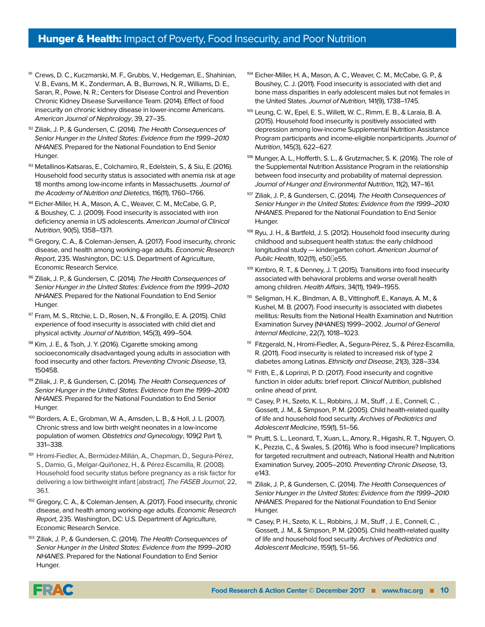- Crews, D. C., Kuczmarski, M. F., Grubbs, V., Hedgeman, E., Shahinian, V. B., Evans, M. K., Zonderman, A. B., Burrows, N. R., Williams, D. E., Saran, R., Powe, N. R.; Centers for Disease Control and Prevention Chronic Kidney Disease Surveillance Team. (2014). Effect of food insecurity on chronic kidney disease in lower-income Americans. American Journal of Nephrology, 39, 27–35.
- 92 Ziliak, J. P., & Gundersen, C. (2014). The Health Consequences of Senior Hunger in the United States: Evidence from the 1999–2010 NHANES. Prepared for the National Foundation to End Senior Hunger.
- 93 Metallinos-Katsaras, E., Colchamiro, R., Edelstein, S., & Siu, E. (2016). Household food security status is associated with anemia risk at age 18 months among low-income infants in Massachusetts. Journal of the Academy of Nutrition and Dietetics, 116(11), 1760–1766.
- 94 Eicher-Miller, H. A., Mason, A. C., Weaver, C. M., McCabe, G. P., & Boushey, C. J. (2009). Food insecurity is associated with iron deficiency anemia in US adolescents. American Journal of Clinical Nutrition, 90(5), 1358–1371.
- <sup>95</sup> Gregory, C. A., & Coleman-Jensen, A. (2017). Food insecurity, chronic disease, and health among working-age adults. Economic Research Report, 235. Washington, DC: U.S. Department of Agriculture, Economic Research Service.
- <sup>96</sup> Ziliak, J. P., & Gundersen, C. (2014). The Health Consequences of Senior Hunger in the United States: Evidence from the 1999–2010 NHANES. Prepared for the National Foundation to End Senior Hunger.
- 97 Fram, M. S., Ritchie, L. D., Rosen, N., & Frongillo, E. A. (2015). Child experience of food insecurity is associated with child diet and physical activity. Journal of Nutrition, 145(3), 499–504.
- 98 Kim, J. E., & Tsoh, J. Y. (2016). Cigarette smoking among socioeconomically disadvantaged young adults in association with food insecurity and other factors. Preventing Chronic Disease, 13, 150458.
- 99 Ziliak, J. P., & Gundersen, C. (2014). The Health Consequences of Senior Hunger in the United States: Evidence from the 1999–2010 NHANES. Prepared for the National Foundation to End Senior Hunger.
- <sup>100</sup> Borders, A. E., Grobman, W. A., Amsden, L. B., & Holl, J. L. (2007). Chronic stress and low birth weight neonates in a low-income population of women. Obstetrics and Gynecology, 109(2 Part 1), 331–338.
- 101 Hromi-Fiedler, A., Bermúdez-Millán, A., Chapman, D., Segura-Pérez, S., Damio, G., Melgar-Quiñonez, H., & Pérez-Escamilla, R. (2008). Household food security status before pregnancy as a risk factor for delivering a low birthweight infant [abstract]. The FASEB Journal, 22, 36.1.
- <sup>102</sup> Gregory, C. A., & Coleman-Jensen, A. (2017). Food insecurity, chronic disease, and health among working-age adults. Economic Research Report, 235. Washington, DC: U.S. Department of Agriculture, Economic Research Service.
- <sup>103</sup> Ziliak, J. P., & Gundersen, C. (2014). The Health Consequences of Senior Hunger in the United States: Evidence from the 1999–2010 NHANES. Prepared for the National Foundation to End Senior Hunger.
- <sup>104</sup> Eicher-Miller, H. A., Mason, A. C., Weaver, C. M., McCabe, G. P., & Boushey, C. J. (2011). Food insecurity is associated with diet and bone mass disparities in early adolescent males but not females in the United States. Journal of Nutrition, 141(9), 1738–1745.
- 105 Leung, C. W., Epel, E. S., Willett, W. C., Rimm, E. B., & Laraia, B. A. (2015). Household food insecurity is positively associated with depression among low-income Supplemental Nutrition Assistance Program participants and income-eligible nonparticipants. Journal of Nutrition, 145(3), 622–627.
- 106 Munger, A. L., Hofferth, S. L., & Grutzmacher, S. K. (2016). The role of the Supplemental Nutrition Assistance Program in the relationship between food insecurity and probability of maternal depression. Journal of Hunger and Environmental Nutrition, 11(2), 147–161.
- 107 Ziliak, J. P., & Gundersen, C. (2014). The Health Consequences of Senior Hunger in the United States: Evidence from the 1999–2010 NHANES. Prepared for the National Foundation to End Senior Hunger.
- <sup>108</sup> Ryu, J. H., & Bartfeld, J. S. (2012). Household food insecurity during childhood and subsequent health status: the early childhood longitudinal study — kindergarten cohort. American Journal of Public Health, 102(11), e50‐e55.
- <sup>109</sup> Kimbro, R. T., & Denney, J. T. (2015). Transitions into food insecurity associated with behavioral problems and worse overall health among children. Health Affairs, 34(11), 1949-1955.
- <sup>110</sup> Seligman, H. K., Bindman, A. B., Vittinghoff, E., Kanaya, A. M., & Kushel, M. B. (2007). Food insecurity is associated with diabetes mellitus: Results from the National Health Examination and Nutrition Examination Survey (NHANES) 1999–2002. Journal of General Internal Medicine, 22(7), 1018–1023.
- <sup>111</sup> Fitzgerald, N., Hromi-Fiedler, A., Segura-Pérez, S., & Pérez-Escamilla, R. (2011). Food insecurity is related to increased risk of type 2 diabetes among Latinas. Ethnicity and Disease, 21(3), 328-334.
- 112 Frith, E., & Loprinzi, P. D. (2017). Food insecurity and cognitive function in older adults: brief report. Clinical Nutrition, published online ahead of print.
- 113 Casey, P. H., Szeto, K. L., Robbins, J. M., Stuff, J. E., Connell, C., Gossett, J. M., & Simpson, P. M. (2005). Child health-related quality of life and household food security. Archives of Pediatrics and Adolescent Medicine, 159(1), 51–56.
- 114 Pruitt, S. L., Leonard, T., Xuan, L., Amory, R., Higashi, R. T., Nguyen, O. K., Pezzia, C., & Swales, S. (2016). Who is food insecure? Implications for targeted recruitment and outreach, National Health and Nutrition Examination Survey, 2005–2010. Preventing Chronic Disease, 13, e143.
- 115 Ziliak, J. P., & Gundersen, C. (2014). The Health Consequences of Senior Hunger in the United States: Evidence from the 1999–2010 NHANES. Prepared for the National Foundation to End Senior Hunger.
- 116 Casey, P. H., Szeto, K. L., Robbins, J. M., Stuff, J. E., Connell, C., Gossett, J. M., & Simpson, P. M. (2005). Child health-related quality of life and household food security. Archives of Pediatrics and Adolescent Medicine, 159(1), 51–56.

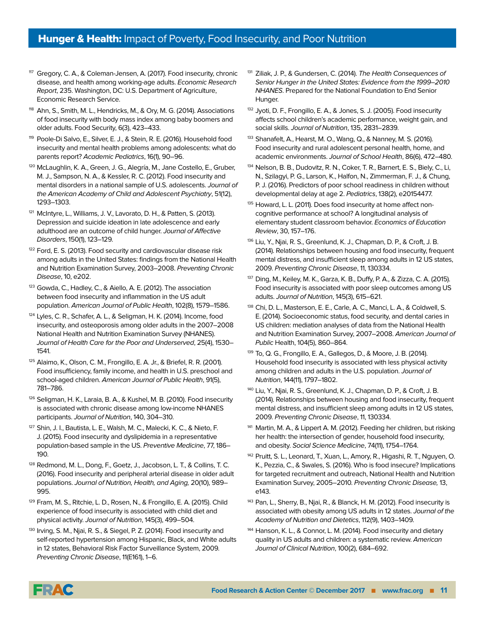- Gregory, C. A., & Coleman-Jensen, A. (2017). Food insecurity, chronic disease, and health among working-age adults. Economic Research Report, 235. Washington, DC: U.S. Department of Agriculture, Economic Research Service.
- <sup>118</sup> Ahn, S., Smith, M. L., Hendricks, M., & Ory, M. G. (2014). Associations of food insecurity with body mass index among baby boomers and older adults. Food Security, 6(3), 423–433.
- <sup>119</sup> Poole-Di Salvo, E., Silver, E. J., & Stein, R. E. (2016). Household food insecurity and mental health problems among adolescents: what do parents report? Academic Pediatrics, 16(1), 90–96.
- <sup>120</sup> McLaughlin, K. A., Green, J. G., Alegría, M., Jane Costello, E., Gruber, M. J., Sampson, N. A., & Kessler, R. C. (2012). Food insecurity and mental disorders in a national sample of U.S. adolescents. Journal of the American Academy of Child and Adolescent Psychiatry, 51(12), 1293–1303.
- <sup>121</sup> McIntyre, L., Williams, J. V., Lavorato, D. H., & Patten, S. (2013). Depression and suicide ideation in late adolescence and early adulthood are an outcome of child hunger. Journal of Affective Disorders, 150(1), 123–129.
- <sup>122</sup> Ford, E. S. (2013). Food security and cardiovascular disease risk among adults in the United States: findings from the National Health and Nutrition Examination Survey, 2003–2008. Preventing Chronic Disease, 10, e202.
- <sup>123</sup> Gowda, C., Hadley, C., & Aiello, A. E. (2012). The association between food insecurity and inflammation in the US adult population. American Journal of Public Health, 102(8), 1579–1586.
- <sup>124</sup> Lyles, C. R., Schafer, A. L., & Seligman, H. K. (2014). Income, food insecurity, and osteoporosis among older adults in the 2007–2008 National Health and Nutrition Examination Survey (NHANES). Journal of Health Care for the Poor and Underserved, 25(4), 1530– 1541.
- <sup>125</sup> Alaimo, K., Olson, C. M., Frongillo, E. A. Jr., & Briefel, R. R. (2001). Food insufficiency, family income, and health in U.S. preschool and school-aged children. American Journal of Public Health, 91(5), 781–786.
- <sup>126</sup> Seligman, H. K., Laraia, B. A., & Kushel, M. B. (2010). Food insecurity is associated with chronic disease among low-income NHANES participants. Journal of Nutrition, 140, 304–310.
- 127 Shin, J. I., Bautista, L. E., Walsh, M. C., Malecki, K. C., & Nieto, F. J. (2015). Food insecurity and dyslipidemia in a representative population-based sample in the US. Preventive Medicine, 77, 186– 190.
- 128 Redmond, M. L., Dong, F., Goetz, J., Jacobson, L. T., & Collins, T. C. (2016). Food insecurity and peripheral arterial disease in older adult populations. Journal of Nutrition, Health, and Aging, 20(10), 989– 995.
- <sup>129</sup> Fram, M. S., Ritchie, L. D., Rosen, N., & Frongillo, E. A. (2015). Child experience of food insecurity is associated with child diet and physical activity. Journal of Nutrition, 145(3), 499–504.
- <sup>130</sup> Irving, S. M., Njai, R. S., & Siegel, P. Z. (2014). Food insecurity and self-reported hypertension among Hispanic, Black, and White adults in 12 states, Behavioral Risk Factor Surveillance System, 2009. Preventing Chronic Disease, 11(E161), 1–6.
- <sup>131</sup> Ziliak, J. P., & Gundersen, C. (2014). The Health Consequences of Senior Hunger in the United States: Evidence from the 1999–2010 NHANES. Prepared for the National Foundation to End Senior Hunger.
- 132 Jyoti, D. F., Frongillo, E. A., & Jones, S. J. (2005). Food insecurity affects school children's academic performance, weight gain, and social skills. Journal of Nutrition, 135, 2831–2839.
- 133 Shanafelt, A., Hearst, M. O., Wang, Q., & Nanney, M. S. (2016). Food insecurity and rural adolescent personal health, home, and academic environments. Journal of School Health, 86(6), 472–480.
- <sup>134</sup> Nelson, B. B., Dudovitz, R. N., Coker, T. R., Barnert, E. S., Biely, C., Li, N., Szilagyi, P. G., Larson, K., Halfon, N., Zimmerman, F. J., & Chung, P. J. (2016). Predictors of poor school readiness in children without developmental delay at age 2. Pediatrics, 138(2), e20154477.
- 135 Howard, L. L. (2011). Does food insecurity at home affect noncognitive performance at school? A longitudinal analysis of elementary student classroom behavior. Economics of Education Review, 30, 157–176.
- <sup>136</sup> Liu, Y., Njai, R. S., Greenlund, K. J., Chapman, D. P., & Croft, J. B. (2014). Relationships between housing and food insecurity, frequent mental distress, and insufficient sleep among adults in 12 US states, 2009. Preventing Chronic Disease, 11, 130334.
- <sup>137</sup> Ding, M., Keiley, M. K., Garza, K. B., Duffy, P. A., & Zizza, C. A. (2015). Food insecurity is associated with poor sleep outcomes among US adults. Journal of Nutrition, 145(3), 615–621.
- 138 Chi, D. L., Masterson, E. E., Carle, A. C., Manci, L. A., & Coldwell, S. E. (2014). Socioeconomic status, food security, and dental caries in US children: mediation analyses of data from the National Health and Nutrition Examination Survey, 2007–2008. American Journal of Public Health, 104(5), 860–864.
- <sup>139</sup> To, Q. G., Frongillo, E. A., Gallegos, D., & Moore, J. B. (2014). Household food insecurity is associated with less physical activity among children and adults in the U.S. population. Journal of Nutrition, 144(11), 1797–1802.
- <sup>140</sup> Liu, Y., Njai, R. S., Greenlund, K. J., Chapman, D. P., & Croft, J. B. (2014). Relationships between housing and food insecurity, frequent mental distress, and insufficient sleep among adults in 12 US states, 2009. Preventing Chronic Disease, 11, 130334.
- <sup>141</sup> Martin, M. A., & Lippert A. M. (2012). Feeding her children, but risking her health: the intersection of gender, household food insecurity, and obesity. Social Science Medicine, 74(11), 1754–1764.
- <sup>142</sup> Pruitt, S. L., Leonard, T., Xuan, L., Amory, R., Higashi, R. T., Nguyen, O. K., Pezzia, C., & Swales, S. (2016). Who is food insecure? Implications for targeted recruitment and outreach, National Health and Nutrition Examination Survey, 2005–2010. Preventing Chronic Disease, 13, e143.
- <sup>143</sup> Pan, L., Sherry, B., Njai, R., & Blanck, H. M. (2012). Food insecurity is associated with obesity among US adults in 12 states. Journal of the Academy of Nutrition and Dietetics, 112(9), 1403–1409.
- <sup>144</sup> Hanson, K. L., & Connor, L. M. (2014). Food insecurity and dietary quality in US adults and children: a systematic review. American Journal of Clinical Nutrition, 100(2), 684–692.

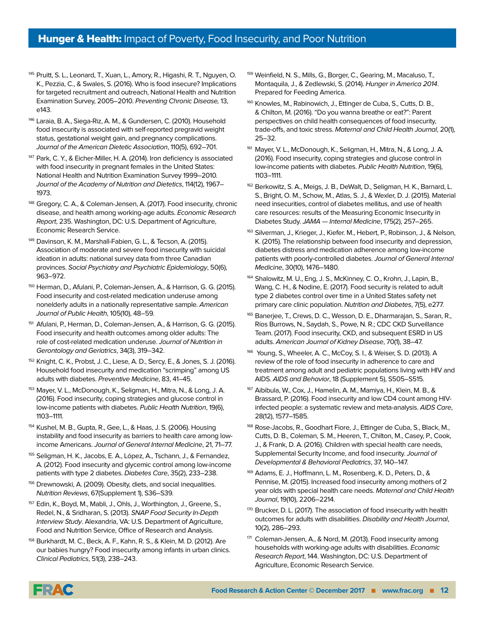- <sup>145</sup> Pruitt, S. L., Leonard, T., Xuan, L., Amory, R., Higashi, R. T., Nguyen, O. K., Pezzia, C., & Swales, S. (2016). Who is food insecure? Implications for targeted recruitment and outreach, National Health and Nutrition Examination Survey, 2005–2010. Preventing Chronic Disease, 13, e143.
- <sup>146</sup> Laraia, B. A., Siega-Riz, A. M., & Gundersen, C. (2010). Household food insecurity is associated with self-reported pregravid weight status, gestational weight gain, and pregnancy complications. Journal of the American Dietetic Association, 110(5), 692–701.
- <sup>147</sup> Park, C. Y., & Eicher-Miller, H. A. (2014). Iron deficiency is associated with food insecurity in pregnant females in the United States: National Health and Nutrition Examination Survey 1999–2010. Journal of the Academy of Nutrition and Dietetics, 114(12), 1967– 1973.
- 148 Gregory, C. A., & Coleman-Jensen, A. (2017). Food insecurity, chronic disease, and health among working-age adults. Economic Research Report, 235. Washington, DC: U.S. Department of Agriculture, Economic Research Service.
- <sup>149</sup> Davinson, K. M., Marshall-Fabien, G. L., & Tecson, A. (2015). Association of moderate and severe food insecurity with suicidal ideation in adults: national survey data from three Canadian provinces. Social Psychiatry and Psychiatric Epidemiology, 50(6), 963–972.
- <sup>150</sup> Herman, D., Afulani, P., Coleman-Jensen, A., & Harrison, G. G. (2015). Food insecurity and cost-related medication underuse among nonelderly adults in a nationally representative sample. American Journal of Public Health, 105(10), 48–59.
- <sup>151</sup> Afulani, P., Herman, D., Coleman-Jensen, A., & Harrison, G. G. (2015). Food insecurity and health outcomes among older adults: The role of cost-related medication underuse. Journal of Nutrition in Gerontology and Geriatrics, 34(3), 319–342.
- <sup>152</sup> Knight, C. K., Probst, J. C., Liese, A. D., Sercy, E., & Jones, S. J. (2016). Household food insecurity and medication "scrimping" among US adults with diabetes. Preventive Medicine, 83, 41–45.
- 153 Mayer, V. L., McDonough, K., Seligman, H., Mitra, N., & Long, J. A. (2016). Food insecurity, coping strategies and glucose control in low-income patients with diabetes. Public Health Nutrition, 19(6), 1103–1111.
- <sup>154</sup> Kushel, M. B., Gupta, R., Gee, L., & Haas, J. S. (2006). Housing instability and food insecurity as barriers to health care among lowincome Americans. Journal of General Internal Medicine, 21, 71–77.
- <sup>155</sup> Seligman, H. K., Jacobs, E. A., López, A., Tschann, J., & Fernandez, A. (2012). Food insecurity and glycemic control among low-income patients with type 2 diabetes. Diabetes Care, 35(2), 233–238.
- <sup>156</sup> Drewnowski, A. (2009). Obesity, diets, and social inequalities. Nutrition Reviews, 67(Supplement 1), S36–S39.
- <sup>157</sup> Edin, K., Boyd, M., Mabli, J., Ohls, J., Worthington, J., Greene, S., Redel, N., & Sridharan, S. (2013). SNAP Food Security In-Depth Interview Study. Alexandria, VA: U.S. Department of Agriculture, Food and Nutrition Service, Office of Research and Analysis.
- <sup>158</sup> Burkhardt, M. C., Beck, A. F., Kahn, R. S., & Klein, M. D. (2012). Are our babies hungry? Food insecurity among infants in urban clinics. Clinical Pediatrics, 51(3), 238–243.
- <sup>159</sup> Weinfield, N. S., Mills, G., Borger, C., Gearing, M., Macaluso, T., Montaquila, J., & Zedlewski, S. (2014). Hunger in America 2014. Prepared for Feeding America.
- 160 Knowles, M., Rabinowich, J., Ettinger de Cuba, S., Cutts, D. B., & Chilton, M. (2016). "Do you wanna breathe or eat?": Parent perspectives on child health consequences of food insecurity, trade-offs, and toxic stress. Maternal and Child Health Journal, 20(1), 25–32.
- 161 Mayer, V. L., McDonough, K., Seligman, H., Mitra, N., & Long, J. A. (2016). Food insecurity, coping strategies and glucose control in low-income patients with diabetes. Public Health Nutrition, 19(6), 1103–1111.
- <sup>162</sup> Berkowitz, S. A., Meigs, J. B., DeWalt, D., Seligman, H. K., Barnard, L. S., Bright, O. M., Schow, M., Atlas, S. J., & Wexler, D. J. (2015). Material need insecurities, control of diabetes mellitus, and use of health care resources: results of the Measuring Economic Insecurity in Diabetes Study. JAMA — Internal Medicine, 175(2), 257–265.
- <sup>163</sup> Silverman, J., Krieger, J., Kiefer. M., Hebert, P., Robinson, J., & Nelson, K. (2015). The relationship between food insecurity and depression, diabetes distress and medication adherence among low-income patients with poorly-controlled diabetes. Journal of General Internal Medicine, 30(10), 1476–1480.
- 164 Shalowitz, M. U., Eng, J. S., McKinney, C. O., Krohn, J., Lapin, B., Wang, C. H., & Nodine, E. (2017). Food security is related to adult type 2 diabetes control over time in a United States safety net primary care clinic population. Nutrition and Diabetes, 7(5), e277.
- <sup>165</sup> Banerjee, T., Crews, D. C., Wesson, D. E., Dharmarajan, S., Saran, R., Ríos Burrows, N., Saydah, S., Powe, N. R.; CDC CKD Surveillance Team. (2017). Food insecurity, CKD, and subsequent ESRD in US adults. American Journal of Kidney Disease, 70(1), 38–47.
- 166 Young, S., Wheeler, A. C., McCoy, S. I., & Weiser, S. D. (2013). A review of the role of food insecurity in adherence to care and treatment among adult and pediatric populations living with HIV and AIDS. AIDS and Behavior, 18 (Supplement 5), S505–S515.
- <sup>167</sup> Aibibula, W., Cox, J., Hamelin, A. M., Mamiya, H., Klein, M. B., & Brassard, P. (2016). Food insecurity and low CD4 count among HIVinfected people: a systematic review and meta-analysis. AIDS Care, 28(12), 1577–1585.
- 168 Rose-Jacobs, R., Goodhart Fiore, J., Ettinger de Cuba, S., Black, M., Cutts, D. B., Coleman, S. M., Heeren, T., Chilton, M., Casey, P., Cook, J., & Frank, D. A. (2016). Children with special health care needs, Supplemental Security Income, and food insecurity. Journal of Developmental & Behavioral Pediatrics, 37, 140–147.
- <sup>169</sup> Adams, E. J., Hoffmann, L. M., Rosenberg, K. D., Peters, D., & Pennise, M. (2015). Increased food insecurity among mothers of 2 year olds with special health care needs. Maternal and Child Health Journal, 19(10), 2206–2214.
- <sup>170</sup> Brucker, D. L. (2017). The association of food insecurity with health outcomes for adults with disabilities. Disability and Health Journal, 10(2), 286–293.
- 171 Coleman-Jensen, A., & Nord, M. (2013). Food insecurity among households with working-age adults with disabilities. Economic Research Report, 144. Washington, DC: U.S. Department of Agriculture, Economic Research Service.

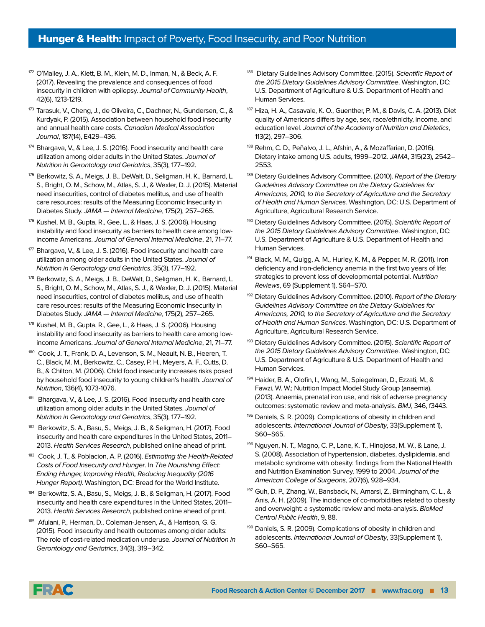- <sup>172</sup> O'Malley, J. A., Klett, B. M., Klein, M. D., Inman, N., & Beck, A. F. (2017). Revealing the prevalence and consequences of food insecurity in children with epilepsy. Journal of Community Health, 42(6), 1213-1219.
- 173 Tarasuk, V., Cheng, J., de Oliveira, C., Dachner, N., Gundersen, C., & Kurdyak, P. (2015). Association between household food insecurity and annual health care costs. Canadian Medical Association Journal, 187(14), E429–436.
- 174 Bhargava, V., & Lee, J. S. (2016). Food insecurity and health care utilization among older adults in the United States. Journal of Nutrition in Gerontology and Geriatrics, 35(3), 177–192.
- 175 Berkowitz, S. A., Meigs, J. B., DeWalt, D., Seligman, H. K., Barnard, L. S., Bright, O. M., Schow, M., Atlas, S. J., & Wexler, D. J. (2015). Material need insecurities, control of diabetes mellitus, and use of health care resources: results of the Measuring Economic Insecurity in Diabetes Study. JAMA — Internal Medicine, 175(2), 257–265.
- <sup>176</sup> Kushel, M. B., Gupta, R., Gee, L., & Haas, J. S. (2006). Housing instability and food insecurity as barriers to health care among lowincome Americans. Journal of General Internal Medicine, 21, 71–77.
- $177$  Bhargava, V., & Lee, J. S. (2016). Food insecurity and health care utilization among older adults in the United States. Journal of Nutrition in Gerontology and Geriatrics, 35(3), 177–192.
- <sup>178</sup> Berkowitz, S. A., Meigs, J. B., DeWalt, D., Seligman, H. K., Barnard, L. S., Bright, O. M., Schow, M., Atlas, S. J., & Wexler, D. J. (2015). Material need insecurities, control of diabetes mellitus, and use of health care resources: results of the Measuring Economic Insecurity in Diabetes Study. JAMA — Internal Medicine, 175(2), 257–265.
- 179 Kushel, M. B., Gupta, R., Gee, L., & Haas, J. S. (2006). Housing instability and food insecurity as barriers to health care among lowincome Americans. Journal of General Internal Medicine, 21, 71–77.
- <sup>180</sup> Cook, J. T., Frank, D. A., Levenson, S. M., Neault, N. B., Heeren, T. C., Black, M. M., Berkowitz, C., Casey, P. H., Meyers, A. F., Cutts, D. B., & Chilton, M. (2006). Child food insecurity increases risks posed by household food insecurity to young children's health. Journal of Nutrition, 136(4), 1073-1076.
- Bhargava, V., & Lee, J. S. (2016). Food insecurity and health care utilization among older adults in the United States. Journal of Nutrition in Gerontology and Geriatrics, 35(3), 177–192.
- 182 Berkowitz, S. A., Basu, S., Meigs, J. B., & Seligman, H. (2017). Food insecurity and health care expenditures in the United States, 2011– 2013. Health Services Research, published online ahead of print.
- <sup>183</sup> Cook, J. T., & Poblacion, A. P. (2016). Estimating the Health-Related Costs of Food Insecurity and Hunger. In The Nourishing Effect: Ending Hunger, Improving Health, Reducing Inequality (2016 Hunger Report). Washington, DC: Bread for the World Institute.
- 184 Berkowitz, S. A., Basu, S., Meigs, J. B., & Seligman, H. (2017). Food insecurity and health care expenditures in the United States, 2011– 2013. Health Services Research, published online ahead of print.
- 185 Afulani, P., Herman, D., Coleman-Jensen, A., & Harrison, G. G. (2015). Food insecurity and health outcomes among older adults: The role of cost-related medication underuse. Journal of Nutrition in Gerontology and Geriatrics, 34(3), 319–342.
- Dietary Guidelines Advisory Committee. (2015). Scientific Report of the 2015 Dietary Guidelines Advisory Committee. Washington, DC: U.S. Department of Agriculture & U.S. Department of Health and Human Services.
- 187 Hiza, H. A., Casavale, K. O., Guenther, P. M., & Davis, C. A. (2013). Diet quality of Americans differs by age, sex, race/ethnicity, income, and education level. Journal of the Academy of Nutrition and Dietetics, 113(2), 297–306.
- 188 Rehm, C. D., Peñalvo, J. L., Afshin, A., & Mozaffarian, D. (2016). Dietary intake among U.S. adults, 1999–2012. JAMA, 315(23), 2542– 2553.
- 189 Dietary Guidelines Advisory Committee. (2010). Report of the Dietary Guidelines Advisory Committee on the Dietary Guidelines for Americans, 2010, to the Secretary of Agriculture and the Secretary of Health and Human Services. Washington, DC: U.S. Department of Agriculture, Agricultural Research Service.
- 190 Dietary Guidelines Advisory Committee. (2015). Scientific Report of the 2015 Dietary Guidelines Advisory Committee. Washington, DC: U.S. Department of Agriculture & U.S. Department of Health and Human Services.
- <sup>191</sup> Black, M. M., Quigg, A. M., Hurley, K. M., & Pepper, M. R. (2011). Iron deficiency and iron-deficiency anemia in the first two years of life: strategies to prevent loss of developmental potential. Nutrition Reviews, 69 (Supplement 1), S64–S70.
- <sup>192</sup> Dietary Guidelines Advisory Committee. (2010). Report of the Dietary Guidelines Advisory Committee on the Dietary Guidelines for Americans, 2010, to the Secretary of Agriculture and the Secretary of Health and Human Services. Washington, DC: U.S. Department of Agriculture, Agricultural Research Service.
- <sup>193</sup> Dietary Guidelines Advisory Committee. (2015). Scientific Report of the 2015 Dietary Guidelines Advisory Committee. Washington, DC: U.S. Department of Agriculture & U.S. Department of Health and Human Services.
- <sup>194</sup> Haider, B. A., Olofin, I., Wang, M., Spiegelman, D., Ezzati, M., & Fawzi, W. W.; Nutrition Impact Model Study Group (anaemia). (2013). Anaemia, prenatal iron use, and risk of adverse pregnancy outcomes: systematic review and meta-analysis. BMJ, 346, f3443.
- 195 Daniels, S. R. (2009). Complications of obesity in children and adolescents. International Journal of Obesity, 33(Supplement 1), S60–S65.
- <sup>196</sup> Nguyen, N. T., Magno, C. P., Lane, K. T., Hinojosa, M. W., & Lane, J. S. (2008). Association of hypertension, diabetes, dyslipidemia, and metabolic syndrome with obesity: findings from the National Health and Nutrition Examination Survey, 1999 to 2004. Journal of the American College of Surgeons, 207(6), 928–934.
- <sup>197</sup> Guh, D. P., Zhang, W., Bansback, N., Amarsi, Z., Birmingham, C. L., & Anis, A. H. (2009). The incidence of co-morbidities related to obesity and overweight: a systematic review and meta-analysis. BioMed Central Public Health, 9, 88.
- 198 Daniels, S. R. (2009). Complications of obesity in children and adolescents. International Journal of Obesity, 33(Supplement 1), S60–S65.